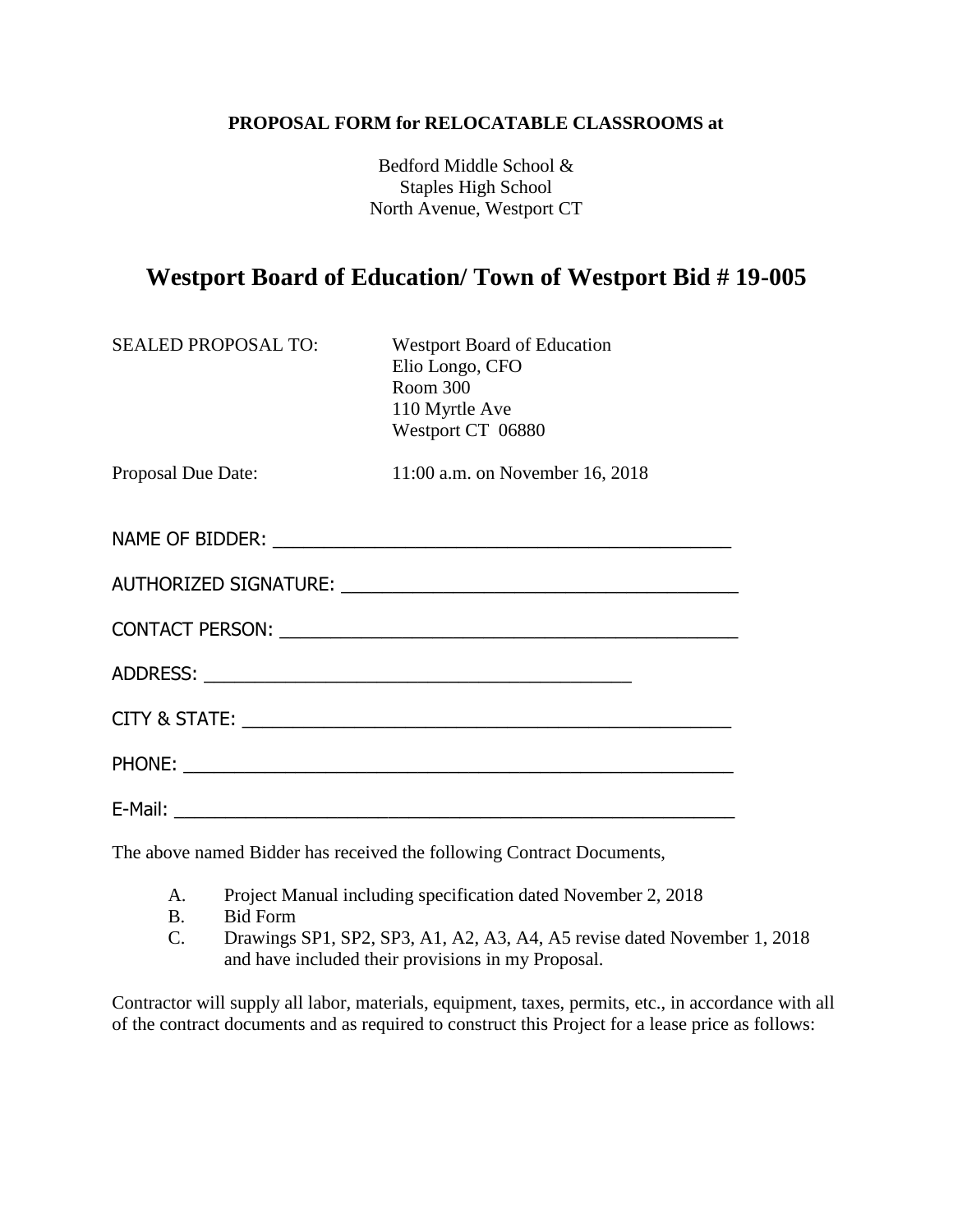#### **PROPOSAL FORM for RELOCATABLE CLASSROOMS at**

Bedford Middle School & Staples High School North Avenue, Westport CT

# **Westport Board of Education/ Town of Westport Bid # 19-005**

| <b>SEALED PROPOSAL TO:</b> | <b>Westport Board of Education</b><br>Elio Longo, CFO<br>Room 300<br>110 Myrtle Ave<br>Westport CT 06880 |
|----------------------------|----------------------------------------------------------------------------------------------------------|
| Proposal Due Date:         | 11:00 a.m. on November 16, 2018                                                                          |
|                            |                                                                                                          |
|                            |                                                                                                          |
|                            |                                                                                                          |
|                            |                                                                                                          |
|                            |                                                                                                          |
|                            |                                                                                                          |
|                            |                                                                                                          |

The above named Bidder has received the following Contract Documents,

- A. Project Manual including specification dated November 2, 2018
- B. Bid Form
- C. Drawings SP1, SP2, SP3, A1, A2, A3, A4, A5 revise dated November 1, 2018 and have included their provisions in my Proposal.

Contractor will supply all labor, materials, equipment, taxes, permits, etc., in accordance with all of the contract documents and as required to construct this Project for a lease price as follows: